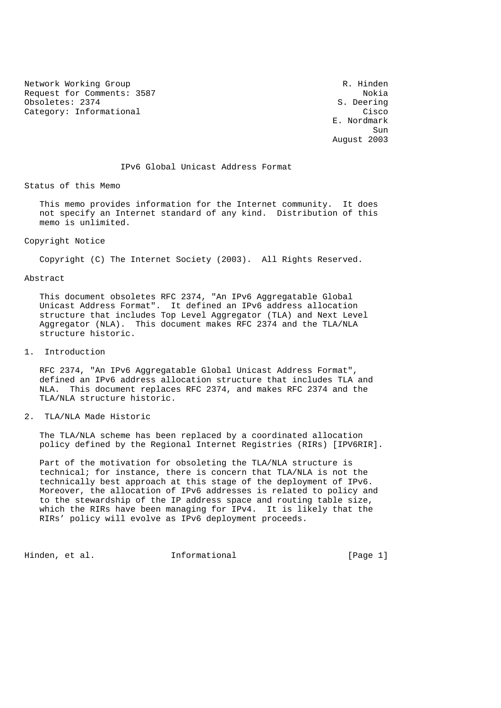Network Working Group and the set of the set of the R. Hinden Request for Comments: 3587 Nokia<br>
Obsoletes: 2374 S. Deering Obsoletes: 2374 Category: Informational Cisco Category: Category: Category: Category: Category: Category: Category: Category: Category: Category: Category: Category: Category: Category: Category: Category: Category: Category: Category: Ca

 E. Nordmark sun de la construcción de la construcción de la construcción de la construcción de la construcción de la constr August 2003

#### IPv6 Global Unicast Address Format

Status of this Memo

 This memo provides information for the Internet community. It does not specify an Internet standard of any kind. Distribution of this memo is unlimited.

## Copyright Notice

Copyright (C) The Internet Society (2003). All Rights Reserved.

#### Abstract

 This document obsoletes RFC 2374, "An IPv6 Aggregatable Global Unicast Address Format". It defined an IPv6 address allocation structure that includes Top Level Aggregator (TLA) and Next Level Aggregator (NLA). This document makes RFC 2374 and the TLA/NLA structure historic.

1. Introduction

 RFC 2374, "An IPv6 Aggregatable Global Unicast Address Format", defined an IPv6 address allocation structure that includes TLA and NLA. This document replaces RFC 2374, and makes RFC 2374 and the TLA/NLA structure historic.

## 2. TLA/NLA Made Historic

 The TLA/NLA scheme has been replaced by a coordinated allocation policy defined by the Regional Internet Registries (RIRs) [IPV6RIR].

 Part of the motivation for obsoleting the TLA/NLA structure is technical; for instance, there is concern that TLA/NLA is not the technically best approach at this stage of the deployment of IPv6. Moreover, the allocation of IPv6 addresses is related to policy and to the stewardship of the IP address space and routing table size, which the RIRs have been managing for IPv4. It is likely that the RIRs' policy will evolve as IPv6 deployment proceeds.

Hinden, et al. 1nformational 1999 [Page 1]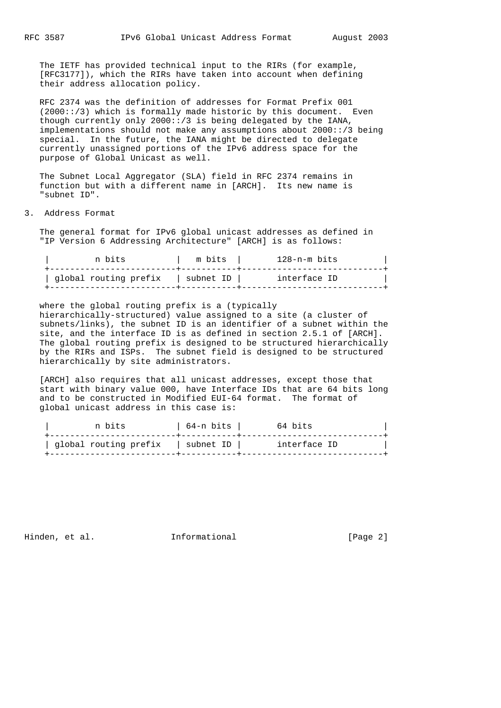The IETF has provided technical input to the RIRs (for example, [RFC3177]), which the RIRs have taken into account when defining their address allocation policy.

 RFC 2374 was the definition of addresses for Format Prefix 001  $(2000::/3)$  which is formally made historic by this document. Even though currently only 2000::/3 is being delegated by the IANA, implementations should not make any assumptions about 2000::/3 being special. In the future, the IANA might be directed to delegate currently unassigned portions of the IPv6 address space for the purpose of Global Unicast as well.

 The Subnet Local Aggregator (SLA) field in RFC 2374 remains in function but with a different name in [ARCH]. Its new name is "subnet ID".

#### 3. Address Format

 The general format for IPv6 global unicast addresses as defined in "IP Version 6 Addressing Architecture" [ARCH] is as follows:

| n bits                | m bits    | 128-n-m bits |  |
|-----------------------|-----------|--------------|--|
| qlobal routing prefix | subnet ID | interface ID |  |

 where the global routing prefix is a (typically hierarchically-structured) value assigned to a site (a cluster of subnets/links), the subnet ID is an identifier of a subnet within the site, and the interface ID is as defined in section 2.5.1 of [ARCH]. The global routing prefix is designed to be structured hierarchically by the RIRs and ISPs. The subnet field is designed to be structured hierarchically by site administrators.

 [ARCH] also requires that all unicast addresses, except those that start with binary value 000, have Interface IDs that are 64 bits long and to be constructed in Modified EUI-64 format. The format of global unicast address in this case is:

| n bits                            | 64-n bits | 64 bits      |
|-----------------------------------|-----------|--------------|
| global routing prefix   subnet ID |           | interface ID |
|                                   |           |              |

Hinden, et al. 1nformational 1999 [Page 2]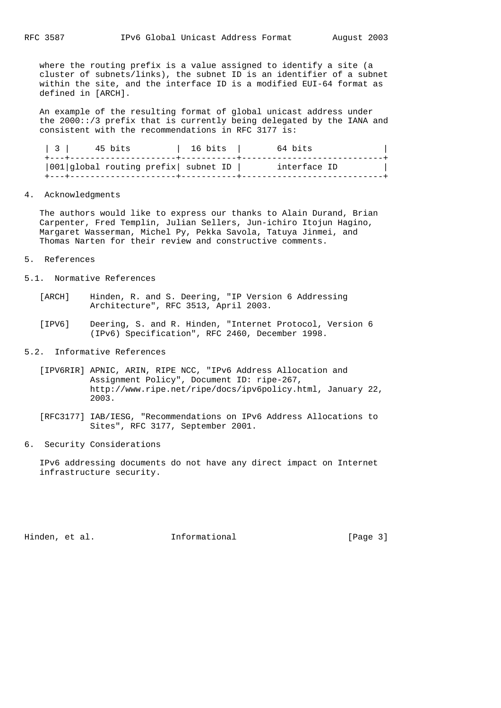where the routing prefix is a value assigned to identify a site (a cluster of subnets/links), the subnet ID is an identifier of a subnet within the site, and the interface ID is a modified EUI-64 format as defined in [ARCH].

 An example of the resulting format of global unicast address under the 2000::/3 prefix that is currently being delegated by the IANA and consistent with the recommendations in RFC 3177 is:

| $3 \mid$ | 45 bits | 16 bits                                 | 64 bits      |  |
|----------|---------|-----------------------------------------|--------------|--|
|          |         | $ 001 $ global routing prefix subnet ID | interface ID |  |

4. Acknowledgments

 The authors would like to express our thanks to Alain Durand, Brian Carpenter, Fred Templin, Julian Sellers, Jun-ichiro Itojun Hagino, Margaret Wasserman, Michel Py, Pekka Savola, Tatuya Jinmei, and Thomas Narten for their review and constructive comments.

- 5. References
- 5.1. Normative References
	- [ARCH] Hinden, R. and S. Deering, "IP Version 6 Addressing Architecture", RFC 3513, April 2003.
	- [IPV6] Deering, S. and R. Hinden, "Internet Protocol, Version 6 (IPv6) Specification", RFC 2460, December 1998.

# 5.2. Informative References

- [IPV6RIR] APNIC, ARIN, RIPE NCC, "IPv6 Address Allocation and Assignment Policy", Document ID: ripe-267, http://www.ripe.net/ripe/docs/ipv6policy.html, January 22, 2003.
- [RFC3177] IAB/IESG, "Recommendations on IPv6 Address Allocations to Sites", RFC 3177, September 2001.
- 6. Security Considerations

 IPv6 addressing documents do not have any direct impact on Internet infrastructure security.

Hinden, et al. 1nformational 1999 [Page 3]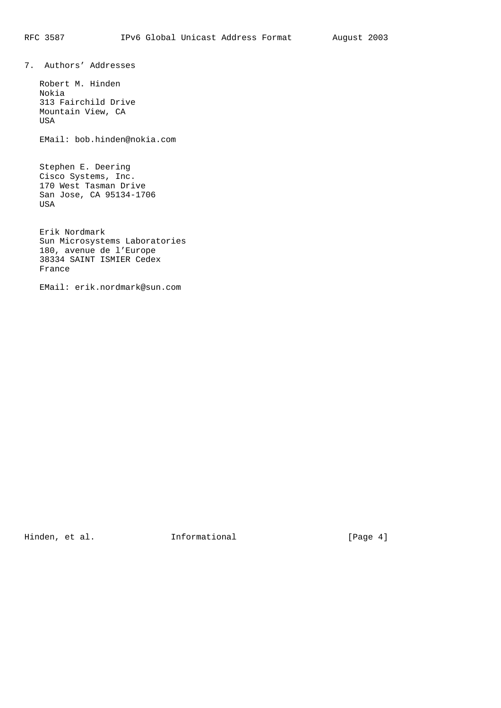7. Authors' Addresses

 Robert M. Hinden Nokia 313 Fairchild Drive Mountain View, CA USA

EMail: bob.hinden@nokia.com

 Stephen E. Deering Cisco Systems, Inc. 170 West Tasman Drive San Jose, CA 95134-1706 USA

 Erik Nordmark Sun Microsystems Laboratories 180, avenue de l'Europe 38334 SAINT ISMIER Cedex France

EMail: erik.nordmark@sun.com

Hinden, et al. 1nformational 1999 [Page 4]